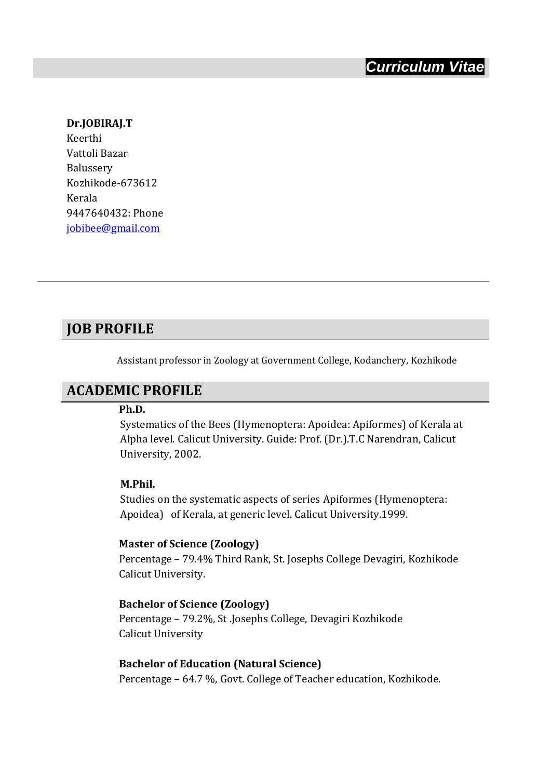#### **Dr.JOBIRAJ.T**

Keerthi Vattoli Bazar Balussery Kozhikode-673612 Kerala 9447640432: Phone [jobibee@gmail.com](mailto:jobibee@gmail.com)

#### **JOB PROFILE**

Assistant professor in Zoology at Government College, Kodanchery, Kozhikode

#### **ACADEMIC PROFILE**

#### **Ph.D.**

Systematics of the Bees (Hymenoptera: Apoidea: Apiformes) of Kerala at Alpha level. Calicut University. Guide: Prof. (Dr.).T.C Narendran, Calicut University, 2002.

#### **M.Phil.**

Studies on the systematic aspects of series Apiformes (Hymenoptera: Apoidea) of Kerala, at generic level. Calicut University.1999.

#### **Master of Science (Zoology)**

Percentage – 79.4% Third Rank, St. Josephs College Devagiri, Kozhikode Calicut University.

#### **Bachelor of Science (Zoology)**

Percentage – 79.2%, St .Josephs College, Devagiri Kozhikode Calicut University

**Bachelor of Education (Natural Science)** Percentage – 64.7 %, Govt. College of Teacher education, Kozhikode.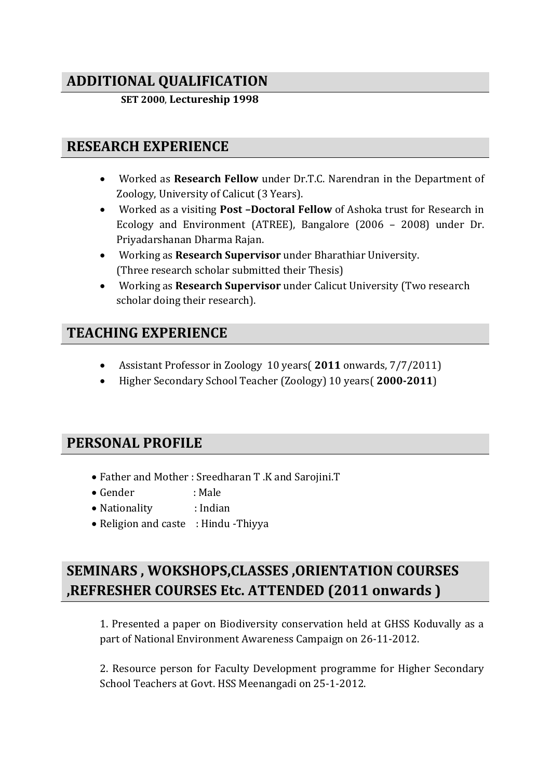# **ADDITIONAL QUALIFICATION**

 **SET 2000**, **Lectureship 1998** 

### **RESEARCH EXPERIENCE**

- Worked as **Research Fellow** under Dr.T.C. Narendran in the Department of Zoology, University of Calicut (3 Years).
- Worked as a visiting **Post –Doctoral Fellow** of Ashoka trust for Research in Ecology and Environment (ATREE), Bangalore (2006 – 2008) under Dr. Priyadarshanan Dharma Rajan.
- Working as **Research Supervisor** under Bharathiar University. (Three research scholar submitted their Thesis)
- Working as **Research Supervisor** under Calicut University (Two research scholar doing their research).

## **TEACHING EXPERIENCE**

- Assistant Professor in Zoology 10 years( **2011** onwards, 7/7/2011)
- Higher Secondary School Teacher (Zoology) 10 years( **2000-2011**)

## **PERSONAL PROFILE**

- Father and Mother : Sreedharan T .K and Sarojini.T
- Gender : Male
- Nationality : Indian
- Religion and caste : Hindu Thiyya

# **SEMINARS , WOKSHOPS,CLASSES ,ORIENTATION COURSES ,REFRESHER COURSES Etc. ATTENDED (2011 onwards )**

1. Presented a paper on Biodiversity conservation held at GHSS Koduvally as a part of National Environment Awareness Campaign on 26-11-2012.

2. Resource person for Faculty Development programme for Higher Secondary School Teachers at Govt. HSS Meenangadi on 25-1-2012.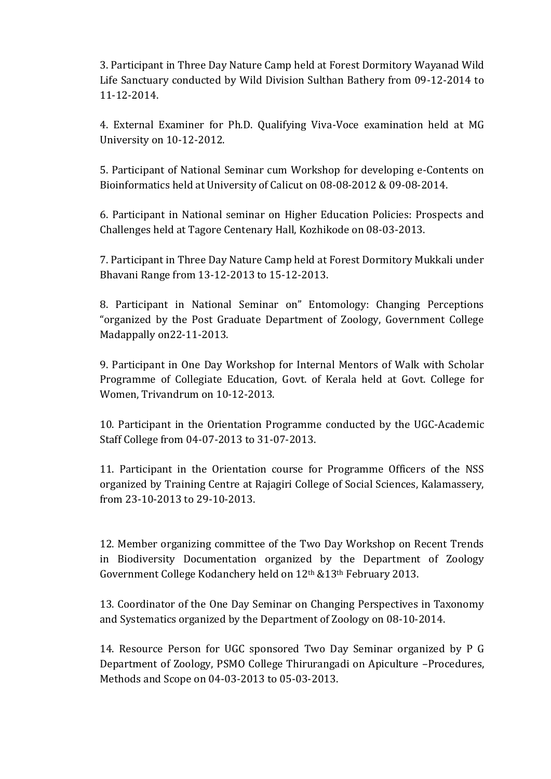3. Participant in Three Day Nature Camp held at Forest Dormitory Wayanad Wild Life Sanctuary conducted by Wild Division Sulthan Bathery from 09-12-2014 to 11-12-2014.

4. External Examiner for Ph.D. Qualifying Viva-Voce examination held at MG University on 10-12-2012.

5. Participant of National Seminar cum Workshop for developing e-Contents on Bioinformatics held at University of Calicut on 08-08-2012 & 09-08-2014.

6. Participant in National seminar on Higher Education Policies: Prospects and Challenges held at Tagore Centenary Hall, Kozhikode on 08-03-2013.

7. Participant in Three Day Nature Camp held at Forest Dormitory Mukkali under Bhavani Range from 13-12-2013 to 15-12-2013.

8. Participant in National Seminar on" Entomology: Changing Perceptions "organized by the Post Graduate Department of Zoology, Government College Madappally on22-11-2013.

9. Participant in One Day Workshop for Internal Mentors of Walk with Scholar Programme of Collegiate Education, Govt. of Kerala held at Govt. College for Women, Trivandrum on 10-12-2013.

10. Participant in the Orientation Programme conducted by the UGC-Academic Staff College from 04-07-2013 to 31-07-2013.

11. Participant in the Orientation course for Programme Officers of the NSS organized by Training Centre at Rajagiri College of Social Sciences, Kalamassery, from 23-10-2013 to 29-10-2013.

12. Member organizing committee of the Two Day Workshop on Recent Trends in Biodiversity Documentation organized by the Department of Zoology Government College Kodanchery held on 12th &13th February 2013.

13. Coordinator of the One Day Seminar on Changing Perspectives in Taxonomy and Systematics organized by the Department of Zoology on 08-10-2014.

14. Resource Person for UGC sponsored Two Day Seminar organized by P G Department of Zoology, PSMO College Thirurangadi on Apiculture –Procedures, Methods and Scope on 04-03-2013 to 05-03-2013.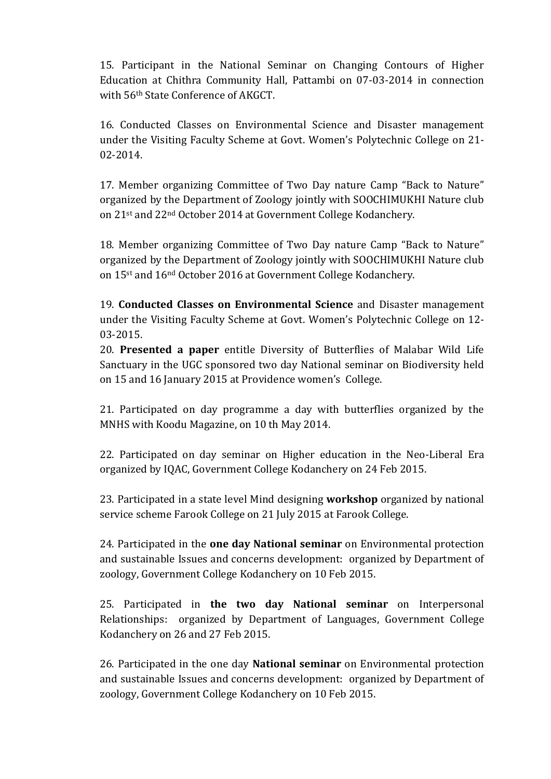15. Participant in the National Seminar on Changing Contours of Higher Education at Chithra Community Hall, Pattambi on 07-03-2014 in connection with 56th State Conference of AKGCT.

16. Conducted Classes on Environmental Science and Disaster management under the Visiting Faculty Scheme at Govt. Women's Polytechnic College on 21- 02-2014.

17. Member organizing Committee of Two Day nature Camp "Back to Nature" organized by the Department of Zoology jointly with SOOCHIMUKHI Nature club on 21st and 22nd October 2014 at Government College Kodanchery.

18. Member organizing Committee of Two Day nature Camp "Back to Nature" organized by the Department of Zoology jointly with SOOCHIMUKHI Nature club on 15st and 16nd October 2016 at Government College Kodanchery.

19. **Conducted Classes on Environmental Science** and Disaster management under the Visiting Faculty Scheme at Govt. Women's Polytechnic College on 12- 03-2015.

20. **Presented a paper** entitle Diversity of Butterflies of Malabar Wild Life Sanctuary in the UGC sponsored two day National seminar on Biodiversity held on 15 and 16 January 2015 at Providence women's College.

21. Participated on day programme a day with butterflies organized by the MNHS with Koodu Magazine, on 10 th May 2014.

22. Participated on day seminar on Higher education in the Neo-Liberal Era organized by IQAC, Government College Kodanchery on 24 Feb 2015.

23. Participated in a state level Mind designing **workshop** organized by national service scheme Farook College on 21 July 2015 at Farook College.

24. Participated in the **one day National seminar** on Environmental protection and sustainable Issues and concerns development: organized by Department of zoology, Government College Kodanchery on 10 Feb 2015.

25. Participated in **the two day National seminar** on Interpersonal Relationships: organized by Department of Languages, Government College Kodanchery on 26 and 27 Feb 2015.

26. Participated in the one day **National seminar** on Environmental protection and sustainable Issues and concerns development: organized by Department of zoology, Government College Kodanchery on 10 Feb 2015.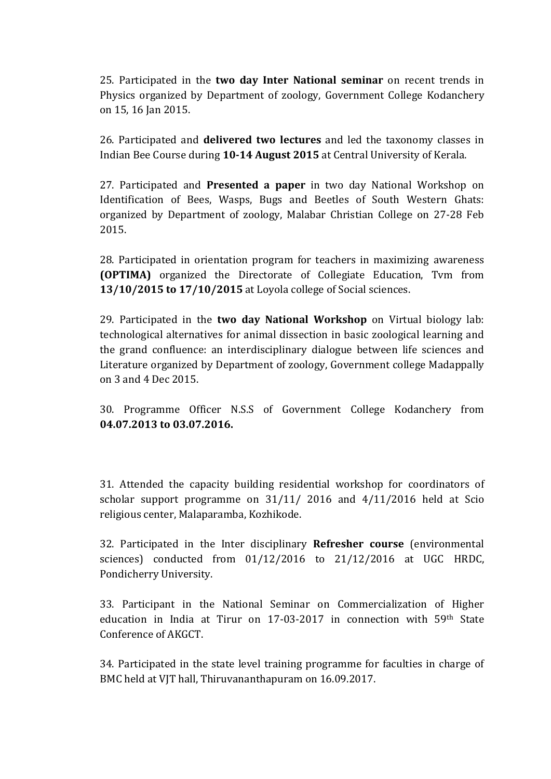25. Participated in the **two day Inter National seminar** on recent trends in Physics organized by Department of zoology, Government College Kodanchery on 15, 16 Jan 2015.

26. Participated and **delivered two lectures** and led the taxonomy classes in Indian Bee Course during **10-14 August 2015** at Central University of Kerala.

27. Participated and **Presented a paper** in two day National Workshop on Identification of Bees, Wasps, Bugs and Beetles of South Western Ghats: organized by Department of zoology, Malabar Christian College on 27-28 Feb 2015.

28. Participated in orientation program for teachers in maximizing awareness **(OPTIMA)** organized the Directorate of Collegiate Education, Tvm from **13/10/2015 to 17/10/2015** at Loyola college of Social sciences.

29. Participated in the **two day National Workshop** on Virtual biology lab: technological alternatives for animal dissection in basic zoological learning and the grand confluence: an interdisciplinary dialogue between life sciences and Literature organized by Department of zoology, Government college Madappally on 3 and 4 Dec 2015.

30. Programme Officer N.S.S of Government College Kodanchery from **04.07.2013 to 03.07.2016.**

31. Attended the capacity building residential workshop for coordinators of scholar support programme on 31/11/ 2016 and 4/11/2016 held at Scio religious center, Malaparamba, Kozhikode.

32. Participated in the Inter disciplinary **Refresher course** (environmental sciences) conducted from 01/12/2016 to 21/12/2016 at UGC HRDC, Pondicherry University.

33. Participant in the National Seminar on Commercialization of Higher education in India at Tirur on 17-03-2017 in connection with 59th State Conference of AKGCT.

34. Participated in the state level training programme for faculties in charge of BMC held at VJT hall, Thiruvananthapuram on 16.09.2017.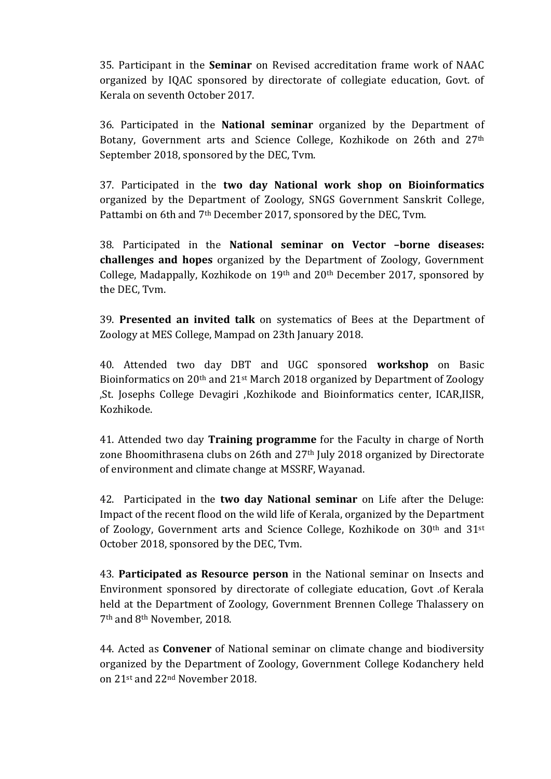35. Participant in the **Seminar** on Revised accreditation frame work of NAAC organized by IQAC sponsored by directorate of collegiate education, Govt. of Kerala on seventh October 2017.

36. Participated in the **National seminar** organized by the Department of Botany, Government arts and Science College, Kozhikode on 26th and 27th September 2018, sponsored by the DEC, Tvm.

37. Participated in the **two day National work shop on Bioinformatics** organized by the Department of Zoology, SNGS Government Sanskrit College, Pattambi on 6th and 7th December 2017, sponsored by the DEC, Tvm.

38. Participated in the **National seminar on Vector –borne diseases: challenges and hopes** organized by the Department of Zoology, Government College, Madappally, Kozhikode on 19th and 20th December 2017, sponsored by the DEC, Tvm.

39. **Presented an invited talk** on systematics of Bees at the Department of Zoology at MES College, Mampad on 23th January 2018.

40. Attended two day DBT and UGC sponsored **workshop** on Basic Bioinformatics on 20th and 21st March 2018 organized by Department of Zoology ,St. Josephs College Devagiri ,Kozhikode and Bioinformatics center, ICAR,IISR, Kozhikode.

41. Attended two day **Training programme** for the Faculty in charge of North zone Bhoomithrasena clubs on 26th and 27th July 2018 organized by Directorate of environment and climate change at MSSRF, Wayanad.

42. Participated in the **two day National seminar** on Life after the Deluge: Impact of the recent flood on the wild life of Kerala, organized by the Department of Zoology, Government arts and Science College, Kozhikode on 30th and 31st October 2018, sponsored by the DEC, Tvm.

43. **Participated as Resource person** in the National seminar on Insects and Environment sponsored by directorate of collegiate education, Govt .of Kerala held at the Department of Zoology, Government Brennen College Thalassery on 7th and 8th November, 2018.

44. Acted as **Convener** of National seminar on climate change and biodiversity organized by the Department of Zoology, Government College Kodanchery held on 21st and 22nd November 2018.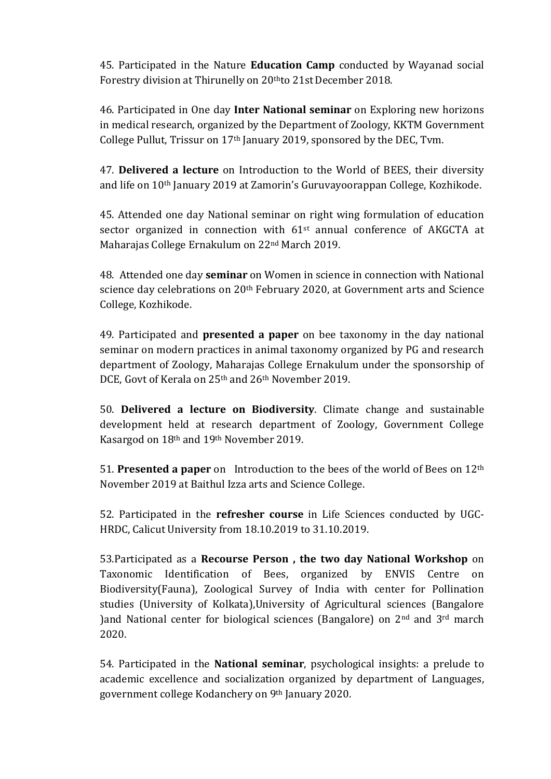45. Participated in the Nature **Education Camp** conducted by Wayanad social Forestry division at Thirunelly on 20thto 21stDecember 2018.

46. Participated in One day **Inter National seminar** on Exploring new horizons in medical research, organized by the Department of Zoology, KKTM Government College Pullut, Trissur on 17th January 2019, sponsored by the DEC, Tvm.

47. **Delivered a lecture** on Introduction to the World of BEES, their diversity and life on 10th January 2019 at Zamorin's Guruvayoorappan College, Kozhikode.

45. Attended one day National seminar on right wing formulation of education sector organized in connection with 61<sup>st</sup> annual conference of AKGCTA at Maharajas College Ernakulum on 22nd March 2019.

48. Attended one day **seminar** on Women in science in connection with National science day celebrations on 20<sup>th</sup> February 2020, at Government arts and Science College, Kozhikode.

49. Participated and **presented a paper** on bee taxonomy in the day national seminar on modern practices in animal taxonomy organized by PG and research department of Zoology, Maharajas College Ernakulum under the sponsorship of DCE, Govt of Kerala on 25<sup>th</sup> and 26<sup>th</sup> November 2019.

50. **Delivered a lecture on Biodiversity**. Climate change and sustainable development held at research department of Zoology, Government College Kasargod on 18th and 19th November 2019.

51. **Presented a paper** on Introduction to the bees of the world of Bees on 12th November 2019 at Baithul Izza arts and Science College.

52. Participated in the **refresher course** in Life Sciences conducted by UGC-HRDC, Calicut University from 18.10.2019 to 31.10.2019.

53.Participated as a **Recourse Person , the two day National Workshop** on Taxonomic Identification of Bees, organized by ENVIS Centre on Biodiversity(Fauna), Zoological Survey of India with center for Pollination studies (University of Kolkata),University of Agricultural sciences (Bangalore )and National center for biological sciences (Bangalore) on 2nd and 3rd march 2020.

54. Participated in the **National seminar**, psychological insights: a prelude to academic excellence and socialization organized by department of Languages, government college Kodanchery on 9th January 2020.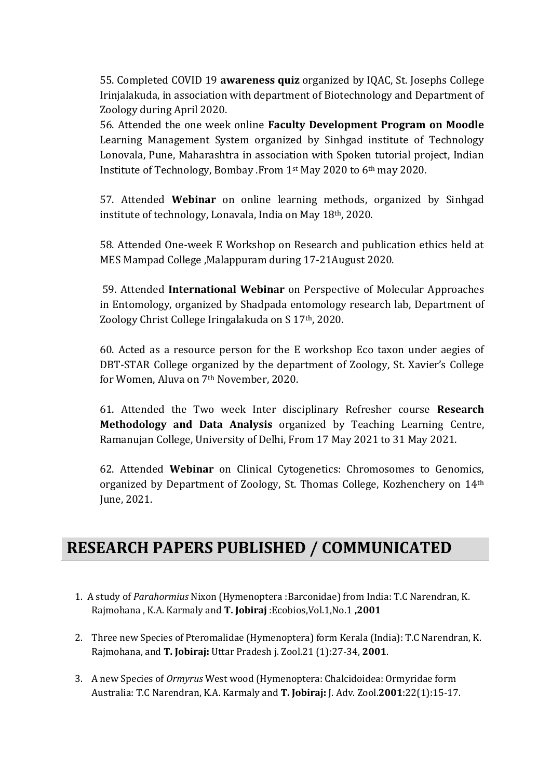55. Completed COVID 19 **awareness quiz** organized by IQAC, St. Josephs College Irinjalakuda, in association with department of Biotechnology and Department of Zoology during April 2020.

56. Attended the one week online **Faculty Development Program on Moodle** Learning Management System organized by Sinhgad institute of Technology Lonovala, Pune, Maharashtra in association with Spoken tutorial project, Indian Institute of Technology, Bombay .From 1st May 2020 to 6th may 2020.

57. Attended **Webinar** on online learning methods, organized by Sinhgad institute of technology, Lonavala, India on May 18th, 2020.

58. Attended One-week E Workshop on Research and publication ethics held at MES Mampad College ,Malappuram during 17-21August 2020.

59. Attended **International Webinar** on Perspective of Molecular Approaches in Entomology, organized by Shadpada entomology research lab, Department of Zoology Christ College Iringalakuda on S 17th, 2020.

60. Acted as a resource person for the E workshop Eco taxon under aegies of DBT-STAR College organized by the department of Zoology, St. Xavier's College for Women, Aluva on 7th November, 2020.

61. Attended the Two week Inter disciplinary Refresher course **Research Methodology and Data Analysis** organized by Teaching Learning Centre, Ramanujan College, University of Delhi, From 17 May 2021 to 31 May 2021.

62. Attended **Webinar** on Clinical Cytogenetics: Chromosomes to Genomics, organized by Department of Zoology, St. Thomas College, Kozhenchery on 14th June, 2021.

# **RESEARCH PAPERS PUBLISHED / COMMUNICATED**

- 1. A study of *Parahormius* Nixon (Hymenoptera :Barconidae) from India: T.C Narendran, K. Rajmohana , K.A. Karmaly and **T. Jobiraj** :Ecobios,Vol.1,No.1 **,2001**
- 2. Three new Species of Pteromalidae (Hymenoptera) form Kerala (India): T.C Narendran, K. Rajmohana, and **T. Jobiraj:** Uttar Pradesh j. Zool.21 (1):27-34, **2001**.
- 3. A new Species of *Ormyrus* West wood (Hymenoptera: Chalcidoidea: Ormyridae form Australia: T.C Narendran, K.A. Karmaly and **T. Jobiraj:** J. Adv. Zool.**2001**:22(1):15-17.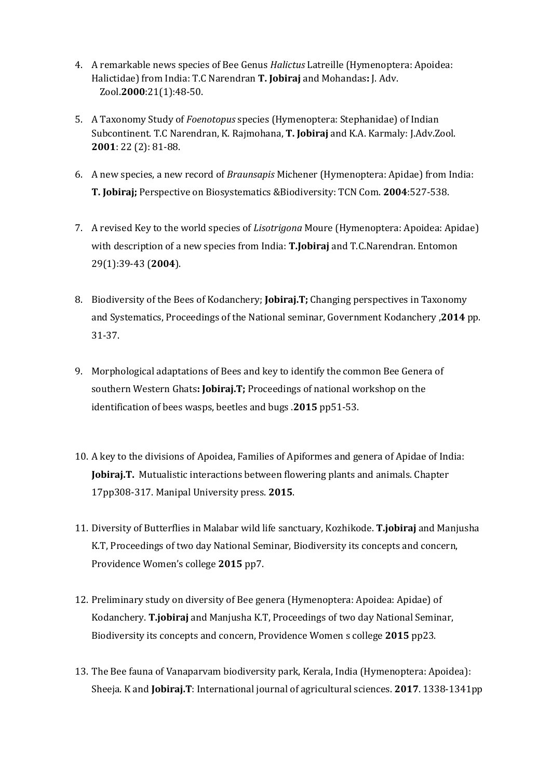- 4. A remarkable news species of Bee Genus *Halictus* Latreille (Hymenoptera: Apoidea: Halictidae) from India: T.C Narendran **T. Jobiraj** and Mohandas**:** J. Adv. Zool.**2000**:21(1):48-50.
- 5. A Taxonomy Study of *Foenotopus* species (Hymenoptera: Stephanidae) of Indian Subcontinent. T.C Narendran, K. Rajmohana, **T. Jobiraj** and K.A. Karmaly: J.Adv.Zool. **2001**: 22 (2): 81-88.
- 6. A new species, a new record of *Braunsapis* Michener (Hymenoptera: Apidae) from India: **T. Jobiraj;** Perspective on Biosystematics &Biodiversity: TCN Com. **2004**:527-538.
- 7. A revised Key to the world species of *Lisotrigona* Moure (Hymenoptera: Apoidea: Apidae) with description of a new species from India: **T.Jobiraj** and T.C.Narendran. Entomon 29(1):39-43 (**2004**).
- 8. Biodiversity of the Bees of Kodanchery; **Jobiraj.T;** Changing perspectives in Taxonomy and Systematics, Proceedings of the National seminar, Government Kodanchery ,**2014** pp. 31-37.
- 9. Morphological adaptations of Bees and key to identify the common Bee Genera of southern Western Ghats**: Jobiraj.T;** Proceedings of national workshop on the identification of bees wasps, beetles and bugs .**2015** pp51-53.
- 10. A key to the divisions of Apoidea, Families of Apiformes and genera of Apidae of India: **Jobiraj.T.** Mutualistic interactions between flowering plants and animals. Chapter 17pp308-317. Manipal University press. **2015**.
- 11. Diversity of Butterflies in Malabar wild life sanctuary, Kozhikode. **T.jobiraj** and Manjusha K.T, Proceedings of two day National Seminar, Biodiversity its concepts and concern, Providence Women's college **2015** pp7.
- 12. Preliminary study on diversity of Bee genera (Hymenoptera: Apoidea: Apidae) of Kodanchery. **T.jobiraj** and Manjusha K.T, Proceedings of two day National Seminar, Biodiversity its concepts and concern, Providence Women s college **2015** pp23.
- 13. The Bee fauna of Vanaparvam biodiversity park, Kerala, India (Hymenoptera: Apoidea): Sheeja. K and **Jobiraj.T**: International journal of agricultural sciences. **2017**. 1338-1341pp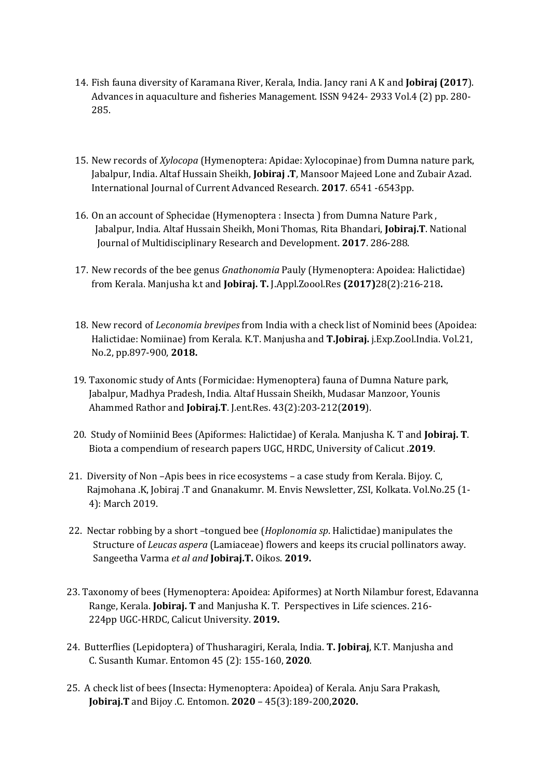- 14. Fish fauna diversity of Karamana River, Kerala, India. Jancy rani A K and **Jobiraj (2017**). Advances in aquaculture and fisheries Management. ISSN 9424- 2933 Vol.4 (2) pp. 280- 285.
- 15. New records of *Xylocopa* (Hymenoptera: Apidae: Xylocopinae) from Dumna nature park, Jabalpur, India. Altaf Hussain Sheikh, **Jobiraj .T**, Mansoor Majeed Lone and Zubair Azad. International Journal of Current Advanced Research. **2017**. 6541 -6543pp.
- 16. On an account of Sphecidae (Hymenoptera : Insecta ) from Dumna Nature Park , Jabalpur, India. Altaf Hussain Sheikh, Moni Thomas, Rita Bhandari, **Jobiraj.T**. National Journal of Multidisciplinary Research and Development. **2017**. 286-288.
- 17. New records of the bee genus *Gnathonomia* Pauly (Hymenoptera: Apoidea: Halictidae) from Kerala. Manjusha k.t and **Jobiraj. T.** J.Appl.Zoool.Res **(2017)**28(2):216-218**.**
- 18. New record of *Leconomia brevipes* from India with a check list of Nominid bees (Apoidea: Halictidae: Nomiinae) from Kerala. K.T. Manjusha and **T.Jobiraj.** j.Exp.Zool.India. Vol.21, No.2, pp.897-900, **2018.**
- 19. Taxonomic study of Ants (Formicidae: Hymenoptera) fauna of Dumna Nature park, Jabalpur, Madhya Pradesh, India. Altaf Hussain Sheikh, Mudasar Manzoor, Younis Ahammed Rathor and **Jobiraj.T**. J.ent.Res. 43(2):203-212(**2019**).
- 20. Study of Nomiinid Bees (Apiformes: Halictidae) of Kerala. Manjusha K. T and **Jobiraj. T**. Biota a compendium of research papers UGC, HRDC, University of Calicut .**2019**.
- 21. Diversity of Non –Apis bees in rice ecosystems a case study from Kerala. Bijoy. C, Rajmohana .K, Jobiraj .T and Gnanakumr. M. Envis Newsletter, ZSI, Kolkata. Vol.No.25 (1- 4): March 2019.
- 22. Nectar robbing by a short –tongued bee (*Hoplonomia sp*. Halictidae) manipulates the Structure of *Leucas aspera* (Lamiaceae) flowers and keeps its crucial pollinators away. Sangeetha Varma *et al and* **Jobiraj.T.** Oikos. **2019.**
- 23. Taxonomy of bees (Hymenoptera: Apoidea: Apiformes) at North Nilambur forest, Edavanna Range, Kerala. **Jobiraj. T** and Manjusha K. T. Perspectives in Life sciences. 216- 224pp UGC-HRDC, Calicut University. **2019.**
- 24. Butterflies (Lepidoptera) of Thusharagiri, Kerala, India. **T. Jobiraj**, K.T. Manjusha and C. Susanth Kumar. Entomon 45 (2): 155-160, **2020**.
- 25. A check list of bees (Insecta: Hymenoptera: Apoidea) of Kerala. Anju Sara Prakash, **Jobiraj.T** and Bijoy .C. Entomon. **2020** – 45(3):189-200,**2020.**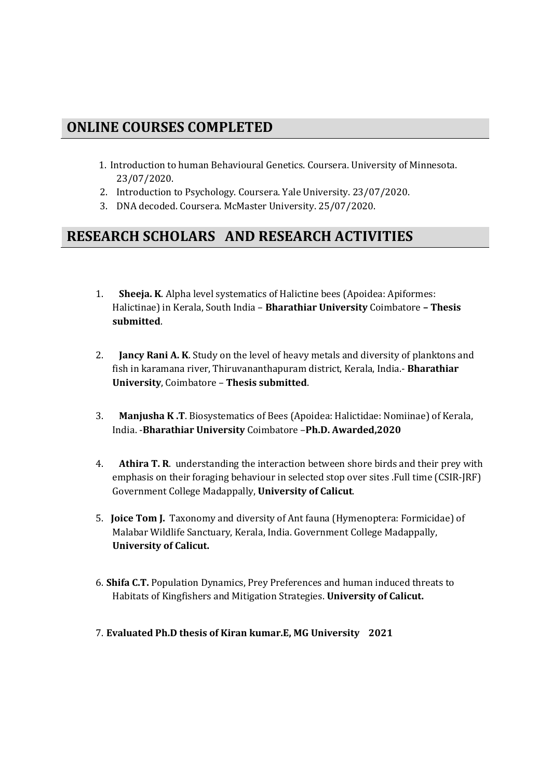### **ONLINE COURSES COMPLETED**

- 1. Introduction to human Behavioural Genetics. Coursera. University of Minnesota. 23/07/2020.
- 2. Introduction to Psychology. Coursera. Yale University. 23/07/2020.
- 3. DNA decoded. Coursera. McMaster University. 25/07/2020.

#### **RESEARCH SCHOLARS AND RESEARCH ACTIVITIES**

- 1. **Sheeja. K**. Alpha level systematics of Halictine bees (Apoidea: Apiformes: Halictinae) in Kerala, South India – **Bharathiar University** Coimbatore **– Thesis submitted**.
- 2. **Jancy Rani A. K**. Study on the level of heavy metals and diversity of planktons and fish in karamana river, Thiruvananthapuram district, Kerala, India.- **Bharathiar University**, Coimbatore – **Thesis submitted**.
- 3. **Manjusha K .T**. Biosystematics of Bees (Apoidea: Halictidae: Nomiinae) of Kerala, India. -**Bharathiar University** Coimbatore –**Ph.D. Awarded,2020**
- 4. **Athira T. R**. understanding the interaction between shore birds and their prey with emphasis on their foraging behaviour in selected stop over sites .Full time (CSIR-JRF) Government College Madappally, **University of Calicut**.
- 5. **Joice Tom J.** Taxonomy and diversity of Ant fauna (Hymenoptera: Formicidae) of Malabar Wildlife Sanctuary, Kerala, India. Government College Madappally, **University of Calicut.**
- 6. **Shifa C.T.** Population Dynamics, Prey Preferences and human induced threats to Habitats of Kingfishers and Mitigation Strategies. **University of Calicut.**
- 7. **Evaluated Ph.D thesis of Kiran kumar.E, MG University 2021**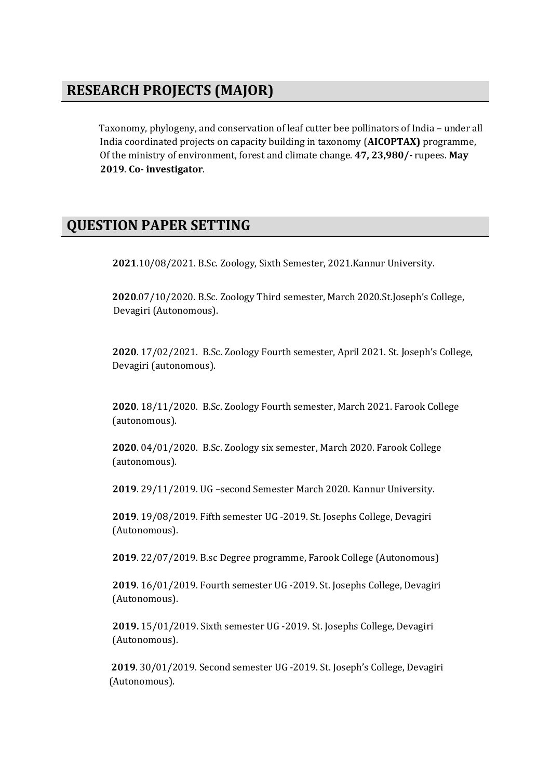### **RESEARCH PROJECTS (MAJOR)**

Taxonomy, phylogeny, and conservation of leaf cutter bee pollinators of India – under all India coordinated projects on capacity building in taxonomy (**AICOPTAX)** programme, Of the ministry of environment, forest and climate change. **47, 23,980/-** rupees. **May 2019**. **Co- investigator**.

### **QUESTION PAPER SETTING**

**2021**.10/08/2021. B.Sc. Zoology, Sixth Semester, 2021.Kannur University.

 **<sup>2020</sup>**.07/10/2020. B.Sc. Zoology Third semester, March 2020.St.Joseph's College, Devagiri (Autonomous).

**2020**. 17/02/2021. B.Sc. Zoology Fourth semester, April 2021. St. Joseph's College, Devagiri (autonomous).

**2020**. 18/11/2020. B.Sc. Zoology Fourth semester, March 2021. Farook College (autonomous).

**2020**. 04/01/2020. B.Sc. Zoology six semester, March 2020. Farook College (autonomous).

**2019**. 29/11/2019. UG –second Semester March 2020. Kannur University.

**2019**. 19/08/2019. Fifth semester UG -2019. St. Josephs College, Devagiri (Autonomous).

**2019**. 22/07/2019. B.sc Degree programme, Farook College (Autonomous)

**2019**. 16/01/2019. Fourth semester UG -2019. St. Josephs College, Devagiri (Autonomous).

**2019.** 15/01/2019. Sixth semester UG -2019. St. Josephs College, Devagiri (Autonomous).

 **2019**. 30/01/2019. Second semester UG -2019. St. Joseph's College, Devagiri (Autonomous).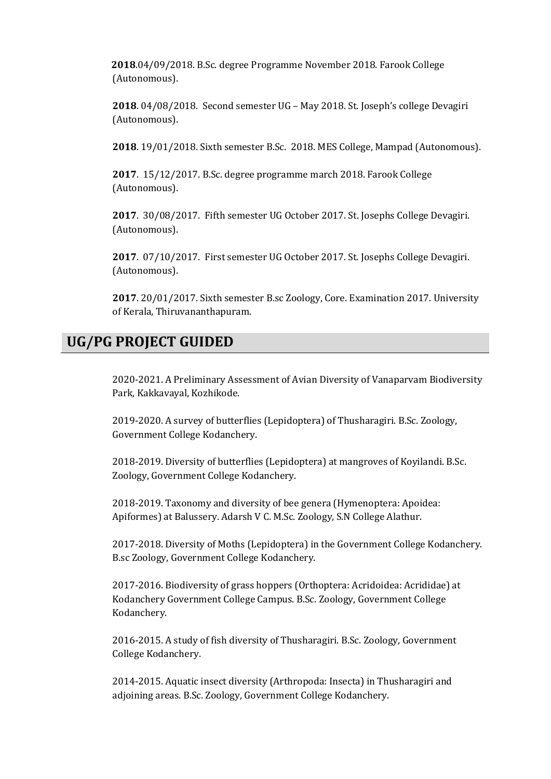**2018**.04/09/2018. B.Sc. degree Programme November 2018. Farook College (Autonomous).

**2018**. 04/08/2018. Second semester UG – May 2018. St. Joseph's college Devagiri (Autonomous).

**2018**. 19/01/2018. Sixth semester B.Sc. 2018. MES College, Mampad (Autonomous).

**2017**. 15/12/2017. B.Sc. degree programme march 2018. Farook College (Autonomous).

**2017**. 30/08/2017. Fifth semester UG October 2017. St. Josephs College Devagiri. (Autonomous).

**2017**. 07/10/2017. First semester UG October 2017. St. Josephs College Devagiri. (Autonomous).

**2017**. 20/01/2017. Sixth semester B.sc Zoology, Core. Examination 2017. University of Kerala, Thiruvananthapuram.

# **UG/PG PROJECT GUIDED**

2020-2021. A Preliminary Assessment of Avian Diversity of Vanaparvam Biodiversity Park, Kakkavayal, Kozhikode.

2019-2020. A survey of butterflies (Lepidoptera) of Thusharagiri. B.Sc. Zoology, Government College Kodanchery.

2018-2019. Diversity of butterflies (Lepidoptera) at mangroves of Koyilandi. B.Sc. Zoology, Government College Kodanchery.

2018-2019. Taxonomy and diversity of bee genera (Hymenoptera: Apoidea: Apiformes) at Balussery. Adarsh V C. M.Sc. Zoology, S.N College Alathur.

2017-2018. Diversity of Moths (Lepidoptera) in the Government College Kodanchery. B.sc Zoology, Government College Kodanchery.

2017-2016. Biodiversity of grass hoppers (Orthoptera: Acridoidea: Acrididae) at Kodanchery Government College Campus. B.Sc. Zoology, Government College Kodanchery.

2016-2015. A study of fish diversity of Thusharagiri. B.Sc. Zoology, Government College Kodanchery.

2014-2015. Aquatic insect diversity (Arthropoda: Insecta) in Thusharagiri and adjoining areas. B.Sc. Zoology, Government College Kodanchery.